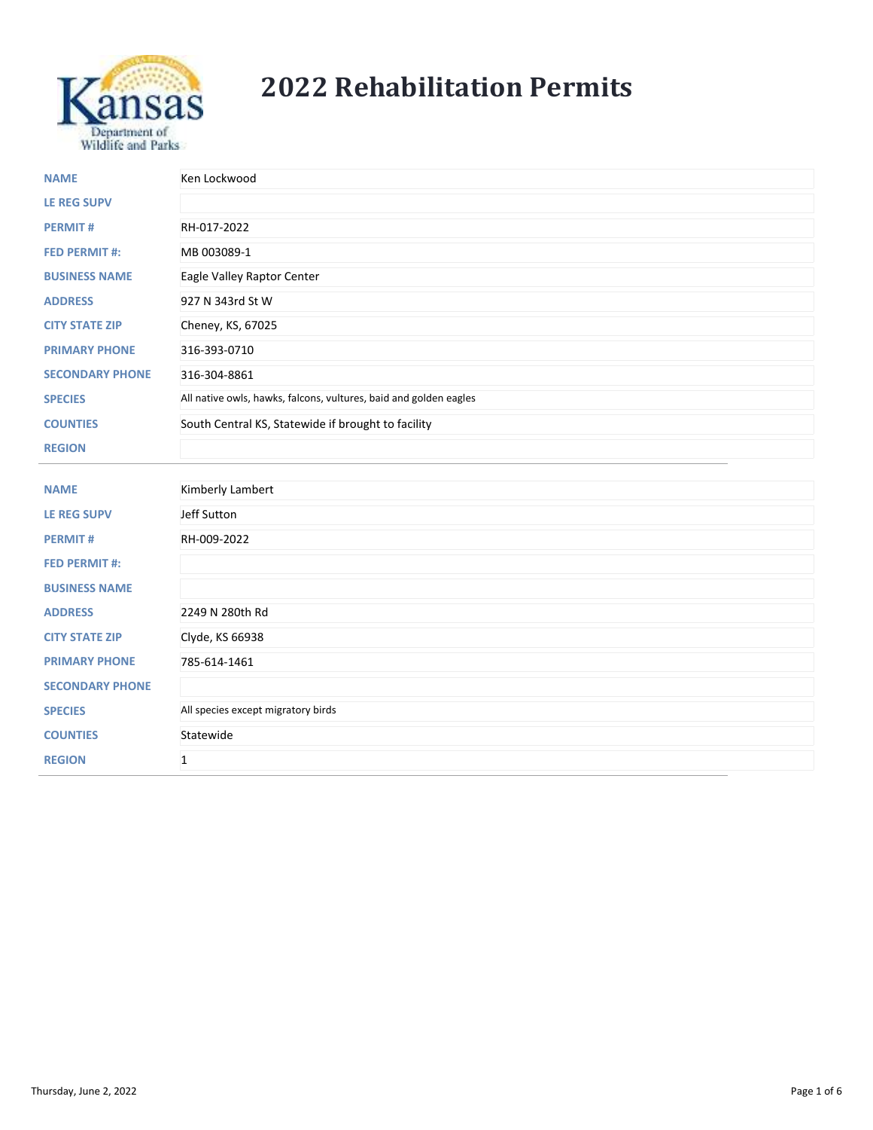

## **2022 Rehabilitation Permits**

| <b>NAME</b>            | Ken Lockwood                                                      |
|------------------------|-------------------------------------------------------------------|
| <b>LE REG SUPV</b>     |                                                                   |
| <b>PERMIT#</b>         | RH-017-2022                                                       |
| <b>FED PERMIT #:</b>   | MB 003089-1                                                       |
| <b>BUSINESS NAME</b>   | Eagle Valley Raptor Center                                        |
| <b>ADDRESS</b>         | 927 N 343rd St W                                                  |
| <b>CITY STATE ZIP</b>  | Cheney, KS, 67025                                                 |
| <b>PRIMARY PHONE</b>   | 316-393-0710                                                      |
| <b>SECONDARY PHONE</b> | 316-304-8861                                                      |
| <b>SPECIES</b>         | All native owls, hawks, falcons, vultures, baid and golden eagles |
| <b>COUNTIES</b>        | South Central KS, Statewide if brought to facility                |
| <b>REGION</b>          |                                                                   |
|                        |                                                                   |
| <b>NAME</b>            | Kimberly Lambert                                                  |
| <b>LE REG SUPV</b>     | Jeff Sutton                                                       |
| <b>PERMIT#</b>         | RH-009-2022                                                       |
| <b>FED PERMIT #:</b>   |                                                                   |
| <b>BUSINESS NAME</b>   |                                                                   |
| <b>ADDRESS</b>         | 2249 N 280th Rd                                                   |
| <b>CITY STATE ZIP</b>  | Clyde, KS 66938                                                   |
| <b>PRIMARY PHONE</b>   | 785-614-1461                                                      |
| <b>SECONDARY PHONE</b> |                                                                   |
| <b>SPECIES</b>         | All species except migratory birds                                |
| <b>COUNTIES</b>        | Statewide                                                         |
| <b>REGION</b>          | $\mathbf{1}$                                                      |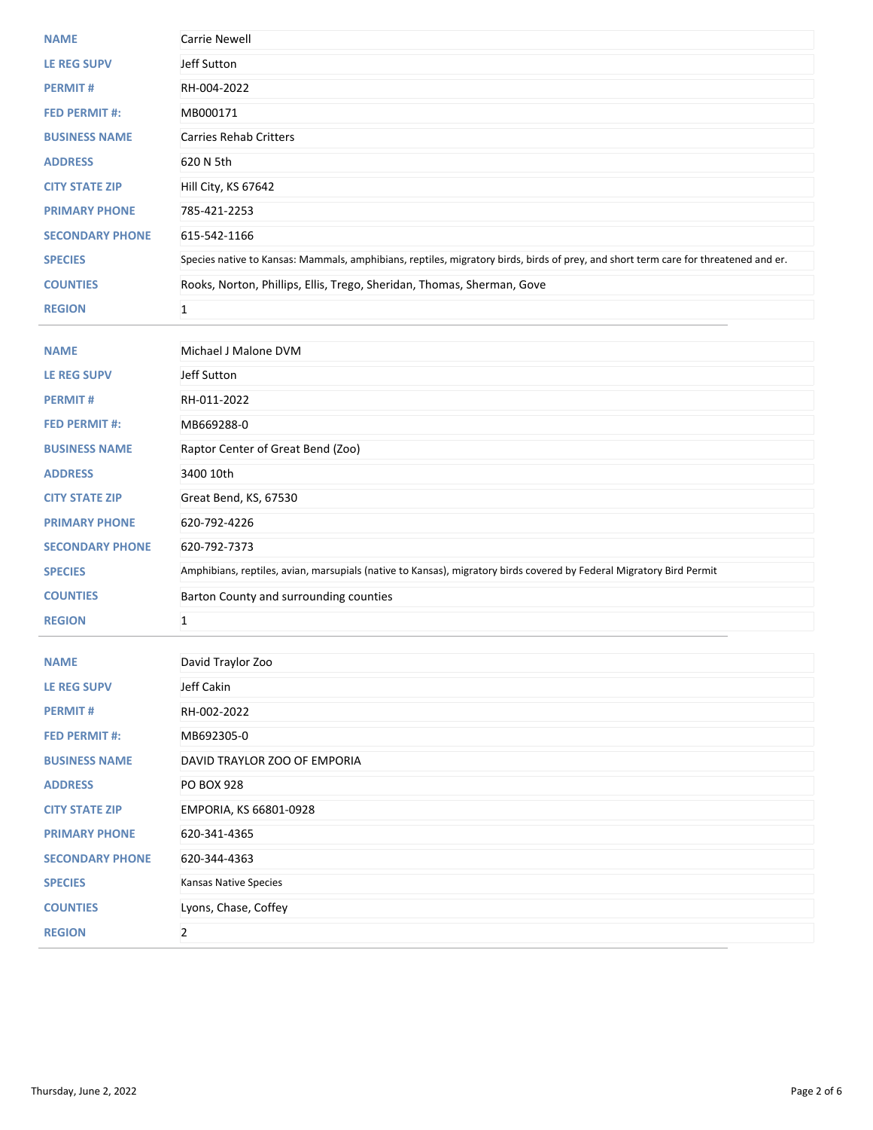| <b>NAME</b>            | <b>Carrie Newell</b>                                                                                                                |
|------------------------|-------------------------------------------------------------------------------------------------------------------------------------|
| <b>LE REG SUPV</b>     | Jeff Sutton                                                                                                                         |
| <b>PERMIT#</b>         | RH-004-2022                                                                                                                         |
| <b>FED PERMIT #:</b>   | MB000171                                                                                                                            |
| <b>BUSINESS NAME</b>   | <b>Carries Rehab Critters</b>                                                                                                       |
| <b>ADDRESS</b>         | 620 N 5th                                                                                                                           |
| <b>CITY STATE ZIP</b>  | Hill City, KS 67642                                                                                                                 |
| <b>PRIMARY PHONE</b>   | 785-421-2253                                                                                                                        |
| <b>SECONDARY PHONE</b> | 615-542-1166                                                                                                                        |
| <b>SPECIES</b>         | Species native to Kansas: Mammals, amphibians, reptiles, migratory birds, birds of prey, and short term care for threatened and er. |
| <b>COUNTIES</b>        | Rooks, Norton, Phillips, Ellis, Trego, Sheridan, Thomas, Sherman, Gove                                                              |
| <b>REGION</b>          | $\mathbf{1}$                                                                                                                        |
|                        |                                                                                                                                     |
| <b>NAME</b>            | Michael J Malone DVM                                                                                                                |
| LE REG SUPV            | Jeff Sutton                                                                                                                         |
| <b>PERMIT#</b>         | RH-011-2022                                                                                                                         |
| <b>FED PERMIT #:</b>   | MB669288-0                                                                                                                          |
| <b>BUSINESS NAME</b>   | Raptor Center of Great Bend (Zoo)                                                                                                   |
| <b>ADDRESS</b>         | 3400 10th                                                                                                                           |
| <b>CITY STATE ZIP</b>  | Great Bend, KS, 67530                                                                                                               |
| <b>PRIMARY PHONE</b>   | 620-792-4226                                                                                                                        |
| <b>SECONDARY PHONE</b> | 620-792-7373                                                                                                                        |
| <b>SPECIES</b>         | Amphibians, reptiles, avian, marsupials (native to Kansas), migratory birds covered by Federal Migratory Bird Permit                |
| <b>COUNTIES</b>        | Barton County and surrounding counties                                                                                              |
| <b>REGION</b>          | $\mathbf{1}$                                                                                                                        |
|                        |                                                                                                                                     |
| <b>NAME</b>            | David Traylor Zoo                                                                                                                   |
| LE REG SUPV            | Jeff Cakin                                                                                                                          |
| <b>PERMIT#</b>         | RH-002-2022                                                                                                                         |
| <b>FED PERMIT #:</b>   | MB692305-0                                                                                                                          |
| <b>BUSINESS NAME</b>   | DAVID TRAYLOR ZOO OF EMPORIA                                                                                                        |
| <b>ADDRESS</b>         | <b>PO BOX 928</b>                                                                                                                   |
| <b>CITY STATE ZIP</b>  | EMPORIA, KS 66801-0928                                                                                                              |
| <b>PRIMARY PHONE</b>   | 620-341-4365                                                                                                                        |
| <b>SECONDARY PHONE</b> | 620-344-4363                                                                                                                        |
| <b>SPECIES</b>         | Kansas Native Species                                                                                                               |
| <b>COUNTIES</b>        | Lyons, Chase, Coffey                                                                                                                |
| <b>REGION</b>          | $\overline{2}$                                                                                                                      |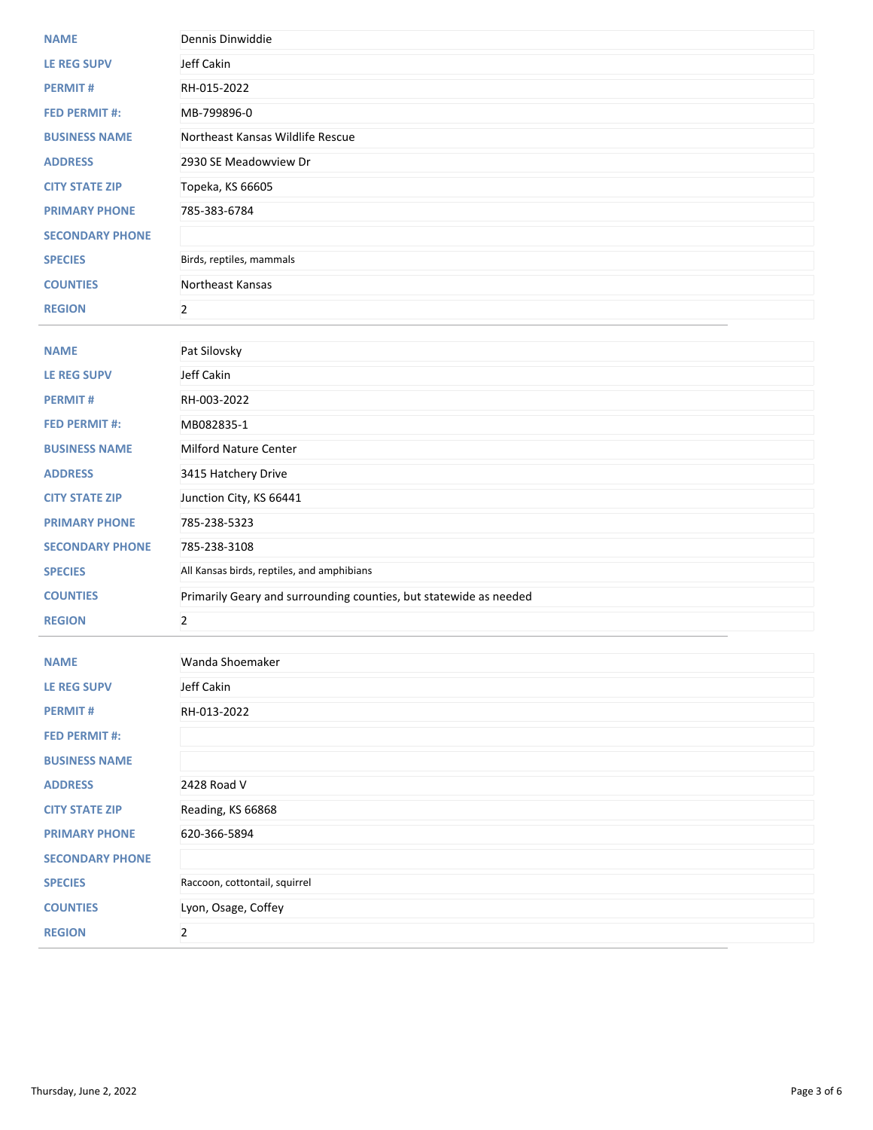| <b>NAME</b>                                  | Dennis Dinwiddie                                                  |
|----------------------------------------------|-------------------------------------------------------------------|
| <b>LE REG SUPV</b>                           | Jeff Cakin                                                        |
| <b>PERMIT#</b>                               | RH-015-2022                                                       |
| <b>FED PERMIT #:</b>                         | MB-799896-0                                                       |
| <b>BUSINESS NAME</b>                         | Northeast Kansas Wildlife Rescue                                  |
| <b>ADDRESS</b>                               | 2930 SE Meadowview Dr                                             |
| <b>CITY STATE ZIP</b>                        | Topeka, KS 66605                                                  |
| <b>PRIMARY PHONE</b>                         | 785-383-6784                                                      |
| <b>SECONDARY PHONE</b>                       |                                                                   |
| <b>SPECIES</b>                               | Birds, reptiles, mammals                                          |
| <b>COUNTIES</b>                              | Northeast Kansas                                                  |
| <b>REGION</b>                                | $\overline{2}$                                                    |
|                                              |                                                                   |
| <b>NAME</b>                                  | Pat Silovsky                                                      |
| <b>LE REG SUPV</b>                           | Jeff Cakin                                                        |
| <b>PERMIT#</b>                               | RH-003-2022                                                       |
| <b>FED PERMIT #:</b>                         | MB082835-1                                                        |
| <b>BUSINESS NAME</b>                         | <b>Milford Nature Center</b>                                      |
| <b>ADDRESS</b>                               | 3415 Hatchery Drive                                               |
| <b>CITY STATE ZIP</b>                        | Junction City, KS 66441                                           |
| <b>PRIMARY PHONE</b>                         | 785-238-5323                                                      |
| <b>SECONDARY PHONE</b>                       | 785-238-3108                                                      |
| <b>SPECIES</b>                               | All Kansas birds, reptiles, and amphibians                        |
| <b>COUNTIES</b>                              | Primarily Geary and surrounding counties, but statewide as needed |
| <b>REGION</b>                                | $\overline{2}$                                                    |
|                                              |                                                                   |
| <b>NAME</b>                                  | Wanda Shoemaker                                                   |
| <b>LE REG SUPV</b>                           | Jeff Cakin                                                        |
| <b>PERMIT#</b>                               | RH-013-2022                                                       |
| <b>FED PERMIT #:</b><br><b>BUSINESS NAME</b> |                                                                   |
|                                              |                                                                   |
| <b>ADDRESS</b>                               | 2428 Road V                                                       |
| <b>CITY STATE ZIP</b>                        | Reading, KS 66868                                                 |
| <b>PRIMARY PHONE</b>                         | 620-366-5894                                                      |
| <b>SECONDARY PHONE</b>                       |                                                                   |
| <b>SPECIES</b>                               | Raccoon, cottontail, squirrel                                     |
| <b>COUNTIES</b>                              | Lyon, Osage, Coffey                                               |
| <b>REGION</b>                                | $\overline{2}$                                                    |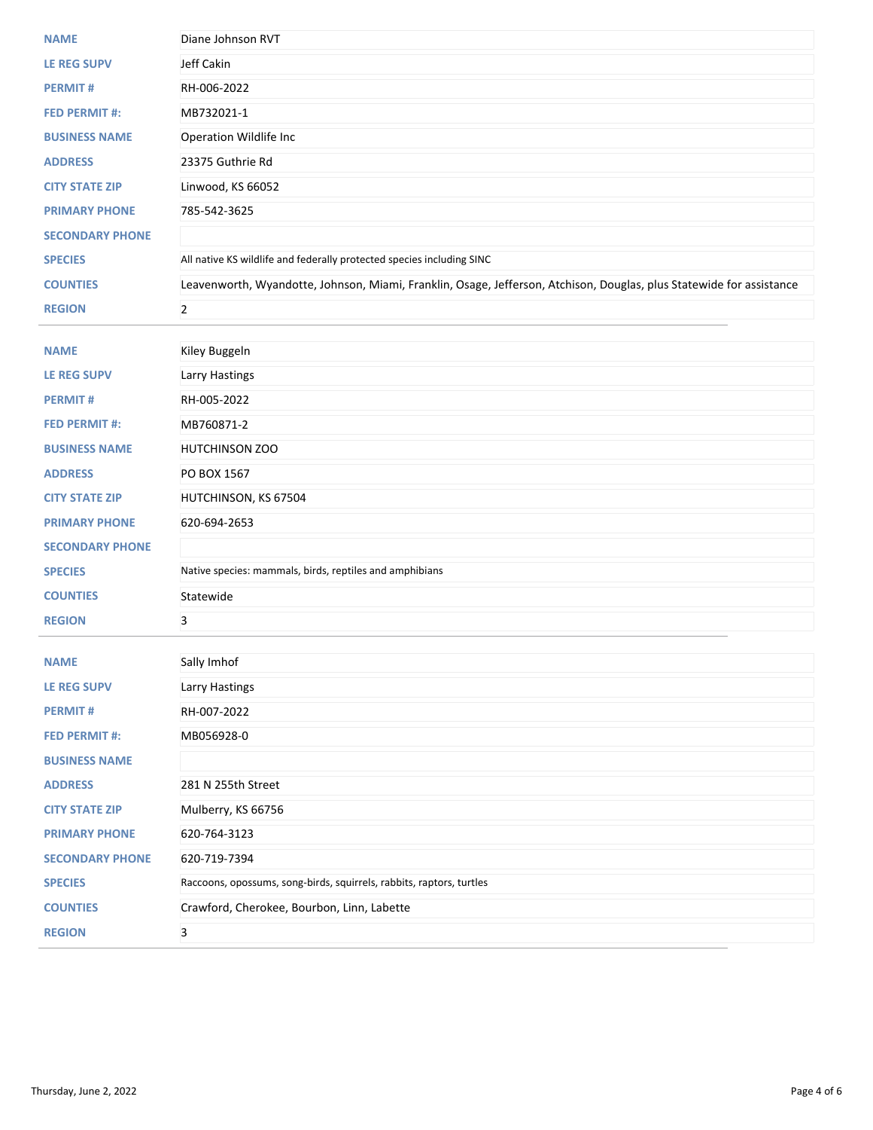| <b>NAME</b>            | Diane Johnson RVT                                                                                                    |
|------------------------|----------------------------------------------------------------------------------------------------------------------|
| <b>LE REG SUPV</b>     | Jeff Cakin                                                                                                           |
| <b>PERMIT#</b>         | RH-006-2022                                                                                                          |
| <b>FED PERMIT #:</b>   | MB732021-1                                                                                                           |
| <b>BUSINESS NAME</b>   | Operation Wildlife Inc                                                                                               |
| <b>ADDRESS</b>         | 23375 Guthrie Rd                                                                                                     |
| <b>CITY STATE ZIP</b>  | Linwood, KS 66052                                                                                                    |
| <b>PRIMARY PHONE</b>   | 785-542-3625                                                                                                         |
| <b>SECONDARY PHONE</b> |                                                                                                                      |
| <b>SPECIES</b>         | All native KS wildlife and federally protected species including SINC                                                |
| <b>COUNTIES</b>        | Leavenworth, Wyandotte, Johnson, Miami, Franklin, Osage, Jefferson, Atchison, Douglas, plus Statewide for assistance |
| <b>REGION</b>          | $\overline{2}$                                                                                                       |
|                        |                                                                                                                      |
| <b>NAME</b>            | Kiley Buggeln                                                                                                        |
| LE REG SUPV            | Larry Hastings                                                                                                       |
| <b>PERMIT#</b>         | RH-005-2022                                                                                                          |
| <b>FED PERMIT #:</b>   | MB760871-2                                                                                                           |
| <b>BUSINESS NAME</b>   | <b>HUTCHINSON ZOO</b>                                                                                                |
| <b>ADDRESS</b>         | PO BOX 1567                                                                                                          |
| <b>CITY STATE ZIP</b>  | HUTCHINSON, KS 67504                                                                                                 |
| <b>PRIMARY PHONE</b>   | 620-694-2653                                                                                                         |
| <b>SECONDARY PHONE</b> |                                                                                                                      |
| <b>SPECIES</b>         | Native species: mammals, birds, reptiles and amphibians                                                              |
| <b>COUNTIES</b>        | Statewide                                                                                                            |
| <b>REGION</b>          | 3                                                                                                                    |
| <b>NAME</b>            |                                                                                                                      |
| <b>LE REG SUPV</b>     | Sally Imhof<br>Larry Hastings                                                                                        |
| <b>PERMIT#</b>         | RH-007-2022                                                                                                          |
| <b>FED PERMIT#:</b>    | MB056928-0                                                                                                           |
| <b>BUSINESS NAME</b>   |                                                                                                                      |
| <b>ADDRESS</b>         | 281 N 255th Street                                                                                                   |
| <b>CITY STATE ZIP</b>  | Mulberry, KS 66756                                                                                                   |
| <b>PRIMARY PHONE</b>   | 620-764-3123                                                                                                         |
| <b>SECONDARY PHONE</b> | 620-719-7394                                                                                                         |
| <b>SPECIES</b>         | Raccoons, opossums, song-birds, squirrels, rabbits, raptors, turtles                                                 |
|                        | Crawford, Cherokee, Bourbon, Linn, Labette                                                                           |
| <b>COUNTIES</b>        |                                                                                                                      |
| <b>REGION</b>          | 3                                                                                                                    |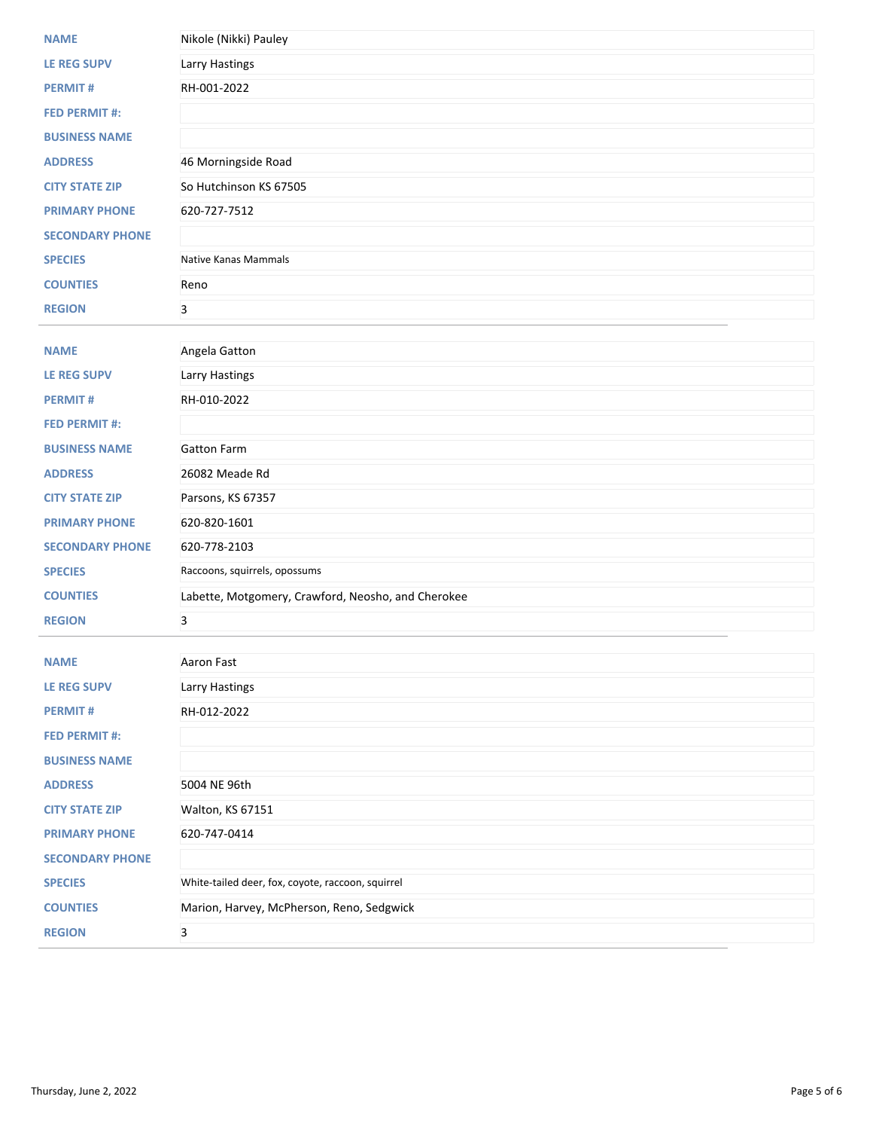| <b>NAME</b>            | Nikole (Nikki) Pauley                              |
|------------------------|----------------------------------------------------|
| <b>LE REG SUPV</b>     | Larry Hastings                                     |
| <b>PERMIT#</b>         | RH-001-2022                                        |
| <b>FED PERMIT #:</b>   |                                                    |
| <b>BUSINESS NAME</b>   |                                                    |
| <b>ADDRESS</b>         | 46 Morningside Road                                |
| <b>CITY STATE ZIP</b>  | So Hutchinson KS 67505                             |
| <b>PRIMARY PHONE</b>   | 620-727-7512                                       |
| <b>SECONDARY PHONE</b> |                                                    |
| <b>SPECIES</b>         | <b>Native Kanas Mammals</b>                        |
| <b>COUNTIES</b>        | Reno                                               |
| <b>REGION</b>          | 3                                                  |
|                        |                                                    |
| <b>NAME</b>            | Angela Gatton                                      |
| <b>LE REG SUPV</b>     | Larry Hastings                                     |
| <b>PERMIT#</b>         | RH-010-2022                                        |
| <b>FED PERMIT #:</b>   |                                                    |
| <b>BUSINESS NAME</b>   | <b>Gatton Farm</b>                                 |
| <b>ADDRESS</b>         | 26082 Meade Rd                                     |
| <b>CITY STATE ZIP</b>  | Parsons, KS 67357                                  |
| <b>PRIMARY PHONE</b>   | 620-820-1601                                       |
| <b>SECONDARY PHONE</b> | 620-778-2103                                       |
| <b>SPECIES</b>         | Raccoons, squirrels, opossums                      |
| <b>COUNTIES</b>        | Labette, Motgomery, Crawford, Neosho, and Cherokee |
| <b>REGION</b>          | $\overline{3}$                                     |
| <b>NAME</b>            | Aaron Fast                                         |
| <b>LE REG SUPV</b>     | <b>Larry Hastings</b>                              |
| <b>PERMIT#</b>         | RH-012-2022                                        |
| <b>FED PERMIT #:</b>   |                                                    |
| <b>BUSINESS NAME</b>   |                                                    |
| <b>ADDRESS</b>         | 5004 NE 96th                                       |
| <b>CITY STATE ZIP</b>  | Walton, KS 67151                                   |
| <b>PRIMARY PHONE</b>   | 620-747-0414                                       |
| <b>SECONDARY PHONE</b> |                                                    |
| <b>SPECIES</b>         | White-tailed deer, fox, coyote, raccoon, squirrel  |
| <b>COUNTIES</b>        | Marion, Harvey, McPherson, Reno, Sedgwick          |
| <b>REGION</b>          | 3                                                  |
|                        |                                                    |